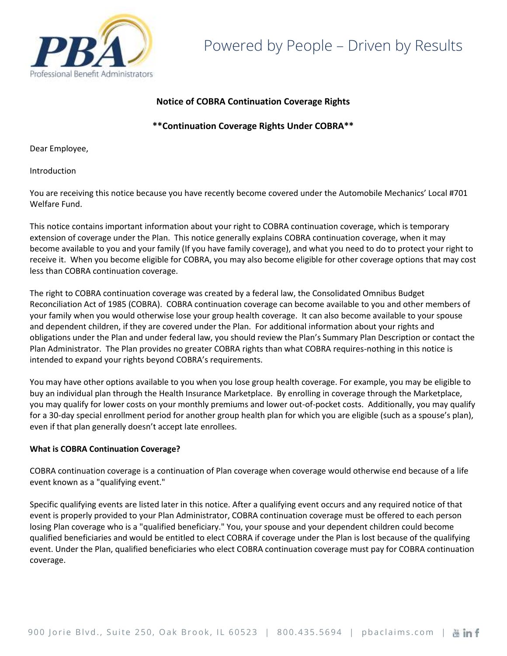

# **Notice of COBRA Continuation Coverage Rights**

**\*\*Continuation Coverage Rights Under COBRA\*\***

Dear Employee,

Introduction

You are receiving this notice because you have recently become covered under the Automobile Mechanics' Local #701 Welfare Fund.

This notice contains important information about your right to COBRA continuation coverage, which is temporary extension of coverage under the Plan. This notice generally explains COBRA continuation coverage, when it may become available to you and your family (If you have family coverage), and what you need to do to protect your right to receive it. When you become eligible for COBRA, you may also become eligible for other coverage options that may cost less than COBRA continuation coverage.

The right to COBRA continuation coverage was created by a federal law, the Consolidated Omnibus Budget Reconciliation Act of 1985 (COBRA). COBRA continuation coverage can become available to you and other members of your family when you would otherwise lose your group health coverage. It can also become available to your spouse and dependent children, if they are covered under the Plan. For additional information about your rights and obligations under the Plan and under federal law, you should review the Plan's Summary Plan Description or contact the Plan Administrator. The Plan provides no greater COBRA rights than what COBRA requires-nothing in this notice is intended to expand your rights beyond COBRA's requirements.

You may have other options available to you when you lose group health coverage. For example, you may be eligible to buy an individual plan through the Health Insurance Marketplace. By enrolling in coverage through the Marketplace, you may qualify for lower costs on your monthly premiums and lower out-of-pocket costs. Additionally, you may qualify for a 30-day special enrollment period for another group health plan for which you are eligible (such as a spouse's plan), even if that plan generally doesn't accept late enrollees.

## **What is COBRA Continuation Coverage?**

COBRA continuation coverage is a continuation of Plan coverage when coverage would otherwise end because of a life event known as a "qualifying event."

Specific qualifying events are listed later in this notice. After a qualifying event occurs and any required notice of that event is properly provided to your Plan Administrator, COBRA continuation coverage must be offered to each person losing Plan coverage who is a "qualified beneficiary." You, your spouse and your dependent children could become qualified beneficiaries and would be entitled to elect COBRA if coverage under the Plan is lost because of the qualifying event. Under the Plan, qualified beneficiaries who elect COBRA continuation coverage must pay for COBRA continuation coverage.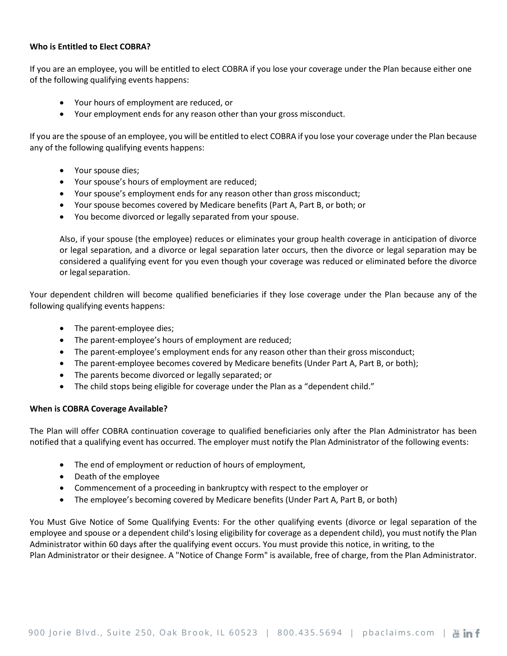### **Who is Entitled to Elect COBRA?**

If you are an employee, you will be entitled to elect COBRA if you lose your coverage under the Plan because either one of the following qualifying events happens:

- Your hours of employment are reduced, or
- Your employment ends for any reason other than your gross misconduct.

If you are the spouse of an employee, you will be entitled to elect COBRA if you lose your coverage under the Plan because any of the following qualifying events happens:

- Your spouse dies;
- Your spouse's hours of employment are reduced;
- Your spouse's employment ends for any reason other than gross misconduct;
- Your spouse becomes covered by Medicare benefits (Part A, Part B, or both; or
- You become divorced or legally separated from your spouse.

Also, if your spouse (the employee) reduces or eliminates your group health coverage in anticipation of divorce or legal separation, and a divorce or legal separation later occurs, then the divorce or legal separation may be considered a qualifying event for you even though your coverage was reduced or eliminated before the divorce or legal separation.

Your dependent children will become qualified beneficiaries if they lose coverage under the Plan because any of the following qualifying events happens:

- The parent-employee dies;
- The parent-employee's hours of employment are reduced;
- The parent-employee's employment ends for any reason other than their gross misconduct;
- The parent-employee becomes covered by Medicare benefits (Under Part A, Part B, or both);
- The parents become divorced or legally separated; or
- The child stops being eligible for coverage under the Plan as a "dependent child."

## **When is COBRA Coverage Available?**

The Plan will offer COBRA continuation coverage to qualified beneficiaries only after the Plan Administrator has been notified that a qualifying event has occurred. The employer must notify the Plan Administrator of the following events:

- The end of employment or reduction of hours of employment,
- Death of the employee
- Commencement of a proceeding in bankruptcy with respect to the employer or
- The employee's becoming covered by Medicare benefits (Under Part A, Part B, or both)

You Must Give Notice of Some Qualifying Events: For the other qualifying events (divorce or legal separation of the employee and spouse or a dependent child's losing eligibility for coverage as a dependent child), you must notify the Plan Administrator within 60 days after the qualifying event occurs. You must provide this notice, in writing, to the Plan Administrator or their designee. A "Notice of Change Form" is available, free of charge, from the Plan Administrator.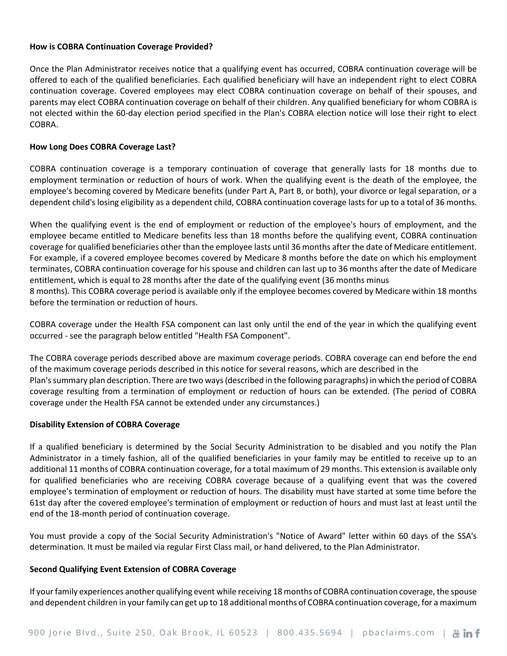### **How is COBRA Continuation Coverage Provided?**

Once the Plan Administrator receives notice that a qualifying event has occurred, COBRA continuation coverage will be offered to each of the qualified beneficiaries. Each qualified beneficiary will have an independent right to elect COBRA continuation coverage. Covered employees may elect COBRA continuation coverage on behalf of their spouses, and parents may elect COBRA continuation coverage on behalf of their children. Any qualified beneficiary for whom COBRA is not elected within the 60-day election period specified in the Plan's COBRA election notice will lose their right to elect COBRA.

## **How Long Does COBRA Coverage Last?**

COBRA continuation coverage is a temporary continuation of coverage that generally lasts for 18 months due to employment termination or reduction of hours of work. When the qualifying event is the death of the employee, the employee's becoming covered by Medicare benefits (under Part A, Part B, or both), your divorce or legal separation, or a dependent child's losing eligibility as a dependent child, COBRA continuation coverage lasts for up to a total of 36 months.

When the qualifying event is the end of employment or reduction of the employee's hours of employment, and the employee became entitled to Medicare benefits less than 18 months before the qualifying event, COBRA continuation coverage for qualified beneficiaries other than the employee lasts until 36 months after the date of Medicare entitlement. For example, if a covered employee becomes covered by Medicare 8 months before the date on which his employment terminates, COBRA continuation coverage for his spouse and children can last up to 36 months after the date of Medicare entitlement, which is equal to 28 months after the date of the qualifying event (36 months minus 8 months). This COBRA coverage period is available only if the employee becomes covered by Medicare within 18 months before the termination or reduction of hours.

COBRA coverage under the Health FSA component can last only until the end of the year in which the qualifying event occurred - see the paragraph below entitled "Health FSA Component".

The COBRA coverage periods described above are maximum coverage periods. COBRA coverage can end before the end of the maximum coverage periods described in this notice for several reasons, which are described in the Plan's summary plan description. There are two ways (described in the following paragraphs) in which the period of COBRA coverage resulting from a termination of employment or reduction of hours can be extended. (The period of COBRA coverage under the Health FSA cannot be extended under any circumstances.)

### **Disability Extension of COBRA Coverage**

If a qualified beneficiary is determined by the Social Security Administration to be disabled and you notify the Plan Administrator in a timely fashion, all of the qualified beneficiaries in your family may be entitled to receive up to an additional 11 months of COBRA continuation coverage, for a total maximum of 29 months. This extension is available only for qualified beneficiaries who are receiving COBRA coverage because of a qualifying event that was the covered employee's termination of employment or reduction of hours. The disability must have started at some time before the 61st day after the covered employee's termination of employment or reduction of hours and must last at least until the end of the 18-month period of continuation coverage.

You must provide a copy of the Social Security Administration's "Notice of Award" letter within 60 days of the SSA's determination. It must be mailed via regular First Class mail, or hand delivered, to the Plan Administrator.

### **Second Qualifying Event Extension of COBRA Coverage**

If your family experiences another qualifying event while receiving 18 months of COBRA continuation coverage, the spouse and dependent children in your family can get up to 18 additional months of COBRA continuation coverage, for a maximum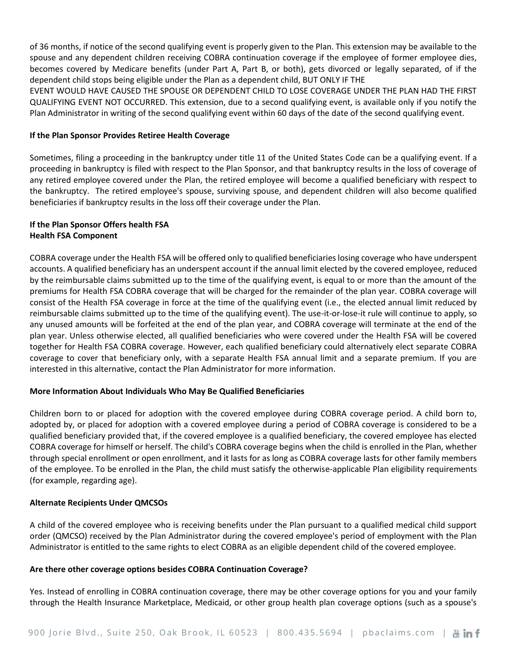of 36 months, if notice of the second qualifying event is properly given to the Plan. This extension may be available to the spouse and any dependent children receiving COBRA continuation coverage if the employee of former employee dies, becomes covered by Medicare benefits (under Part A, Part B, or both), gets divorced or legally separated, of if the dependent child stops being eligible under the Plan as a dependent child, BUT ONLY IF THE

EVENT WOULD HAVE CAUSED THE SPOUSE OR DEPENDENT CHILD TO LOSE COVERAGE UNDER THE PLAN HAD THE FIRST QUALIFYING EVENT NOT OCCURRED. This extension, due to a second qualifying event, is available only if you notify the Plan Administrator in writing of the second qualifying event within 60 days of the date of the second qualifying event.

### **If the Plan Sponsor Provides Retiree Health Coverage**

Sometimes, filing a proceeding in the bankruptcy under title 11 of the United States Code can be a qualifying event. If a proceeding in bankruptcy is filed with respect to the Plan Sponsor, and that bankruptcy results in the loss of coverage of any retired employee covered under the Plan, the retired employee will become a qualified beneficiary with respect to the bankruptcy. The retired employee's spouse, surviving spouse, and dependent children will also become qualified beneficiaries if bankruptcy results in the loss off their coverage under the Plan.

## **If the Plan Sponsor Offers health FSA Health FSA Component**

COBRA coverage under the Health FSA will be offered only to qualified beneficiaries losing coverage who have underspent accounts. A qualified beneficiary has an underspent account if the annual limit elected by the covered employee, reduced by the reimbursable claims submitted up to the time of the qualifying event, is equal to or more than the amount of the premiums for Health FSA COBRA coverage that will be charged for the remainder of the plan year. COBRA coverage will consist of the Health FSA coverage in force at the time of the qualifying event (i.e., the elected annual limit reduced by reimbursable claims submitted up to the time of the qualifying event). The use-it-or-lose-it rule will continue to apply, so any unused amounts will be forfeited at the end of the plan year, and COBRA coverage will terminate at the end of the plan year. Unless otherwise elected, all qualified beneficiaries who were covered under the Health FSA will be covered together for Health FSA COBRA coverage. However, each qualified beneficiary could alternatively elect separate COBRA coverage to cover that beneficiary only, with a separate Health FSA annual limit and a separate premium. If you are interested in this alternative, contact the Plan Administrator for more information.

## **More Information About Individuals Who May Be Qualified Beneficiaries**

Children born to or placed for adoption with the covered employee during COBRA coverage period. A child born to, adopted by, or placed for adoption with a covered employee during a period of COBRA coverage is considered to be a qualified beneficiary provided that, if the covered employee is a qualified beneficiary, the covered employee has elected COBRA coverage for himself or herself. The child's COBRA coverage begins when the child is enrolled in the Plan, whether through special enrollment or open enrollment, and it lasts for as long as COBRA coverage lasts for other family members of the employee. To be enrolled in the Plan, the child must satisfy the otherwise-applicable Plan eligibility requirements (for example, regarding age).

## **Alternate Recipients Under QMCSOs**

A child of the covered employee who is receiving benefits under the Plan pursuant to a qualified medical child support order (QMCSO) received by the Plan Administrator during the covered employee's period of employment with the Plan Administrator is entitled to the same rights to elect COBRA as an eligible dependent child of the covered employee.

### **Are there other coverage options besides COBRA Continuation Coverage?**

Yes. Instead of enrolling in COBRA continuation coverage, there may be other coverage options for you and your family through the Health Insurance Marketplace, Medicaid, or other group health plan coverage options (such as a spouse's